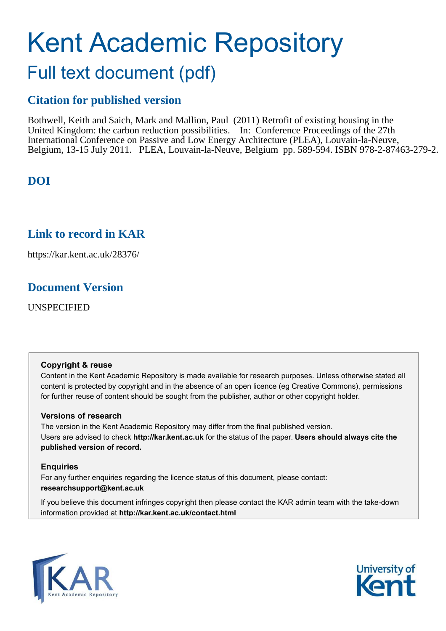# Kent Academic Repository Full text document (pdf)

# **Citation for published version**

Bothwell, Keith and Saich, Mark and Mallion, Paul (2011) Retrofit of existing housing in the United Kingdom: the carbon reduction possibilities. In: Conference Proceedings of the 27th International Conference on Passive and Low Energy Architecture (PLEA), Louvain-la-Neuve, Belgium, 13-15 July 2011. PLEA, Louvain-la-Neuve, Belgium pp. 589-594. ISBN 978-2-87463-279-2.

# **DOI**

# **Link to record in KAR**

https://kar.kent.ac.uk/28376/

# **Document Version**

UNSPECIFIED

#### **Copyright & reuse**

Content in the Kent Academic Repository is made available for research purposes. Unless otherwise stated all content is protected by copyright and in the absence of an open licence (eg Creative Commons), permissions for further reuse of content should be sought from the publisher, author or other copyright holder.

#### **Versions of research**

The version in the Kent Academic Repository may differ from the final published version. Users are advised to check **http://kar.kent.ac.uk** for the status of the paper. **Users should always cite the published version of record.**

#### **Enquiries**

For any further enquiries regarding the licence status of this document, please contact: **researchsupport@kent.ac.uk**

If you believe this document infringes copyright then please contact the KAR admin team with the take-down information provided at **http://kar.kent.ac.uk/contact.html**



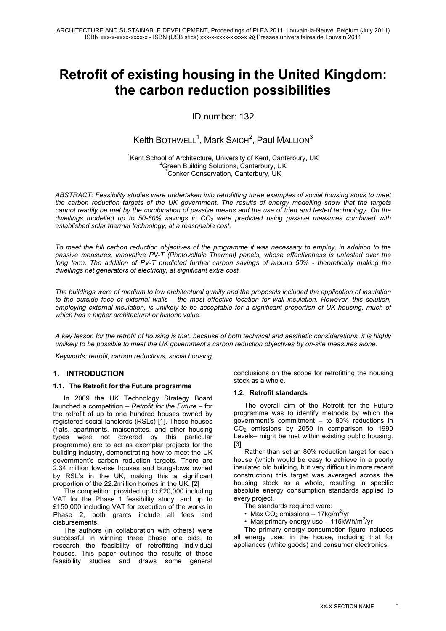# **Retrofit of existing housing in the United Kingdom: the carbon reduction possibilities**

ID number: 132

### $\mathsf{Keith}\,\mathsf{BOTHWELL}^1,$   $\mathsf{Mark}\,\mathsf{SARCH}^2,$   $\mathsf{Paul}\,\mathsf{MALLION}^3$

<sup>1</sup>Kent School of Architecture, University of Kent, Canterbury, UK <sup>2</sup>Green Building Solutions, Canterbury, UK <sup>3</sup>Conker Conservation, Canterbury, UK

*ABSTRACT: Feasibility studies were undertaken into retrofitting three examples of social housing stock to meet the carbon reduction targets of the UK government. The results of energy modelling show that the targets cannot readily be met by the combination of passive means and the use of tried and tested technology. On the dwellings modelled up to 50-60% savings in CO2 were predicted using passive measures combined with established solar thermal technology, at a reasonable cost.*

*To meet the full carbon reduction objectives of the programme it was necessary to employ, in addition to the passive measures, innovative PV-T (Photovoltaic Thermal) panels, whose effectiveness is untested over the long term. The addition of PV-T predicted further carbon savings of around 50% - theoretically making the dwellings net generators of electricity, at significant extra cost.* 

*The buildings were of medium to low architectural quality and the proposals included the application of insulation*  to the outside face of external walls – the most effective location for wall insulation. However, this solution, employing external insulation, is unlikely to be acceptable for a significant proportion of UK housing, much of *which has a higher architectural or historic value.* 

*A key lesson for the retrofit of housing is that, because of both technical and aesthetic considerations, it is highly unlikely to be possible to meet the UK government's carbon reduction objectives by on-site measures alone.* 

*Keywords: retrofit, carbon reductions, social housing.* 

#### **1. INTRODUCTION**

#### **1.1. The Retrofit for the Future programme**

In 2009 the UK Technology Strategy Board launched a competition – *Retrofit for the Future* – for the retrofit of up to one hundred houses owned by registered social landlords (RSLs) [1]. These houses (flats, apartments, maisonettes, and other housing types were not covered by this particular programme) are to act as exemplar projects for the building industry, demonstrating how to meet the UK government's carbon reduction targets. There are 2.34 million low-rise houses and bungalows owned by RSL's in the UK, making this a significant proportion of the 22.2million homes in the UK. [2]

The competition provided up to £20,000 including VAT for the Phase 1 feasibility study, and up to £150,000 including VAT for execution of the works in Phase 2, both grants include all fees and disbursements.

The authors (in collaboration with others) were successful in winning three phase one bids, to research the feasibility of retrofitting individual houses. This paper outlines the results of those feasibility studies and draws some general conclusions on the scope for retrofitting the housing stock as a whole.

#### **1.2. Retrofit standards**

The overall aim of the Retrofit for the Future programme was to identify methods by which the government's commitment – to 80% reductions in CO2 emissions by 2050 in comparison to 1990 Levels– might be met within existing public housing. [3]

Rather than set an 80% reduction target for each house (which would be easy to achieve in a poorly insulated old building, but very difficult in more recent construction) this target was averaged across the housing stock as a whole, resulting in specific absolute energy consumption standards applied to every project.

- The standards required were:
- Max  $CO<sub>2</sub>$  emissions 17kg/m<sup>2</sup>/yr
- Max primary energy use  $-115$ kWh/m<sup>2</sup>/yr

The primary energy consumption figure includes all energy used in the house, including that for appliances (white goods) and consumer electronics.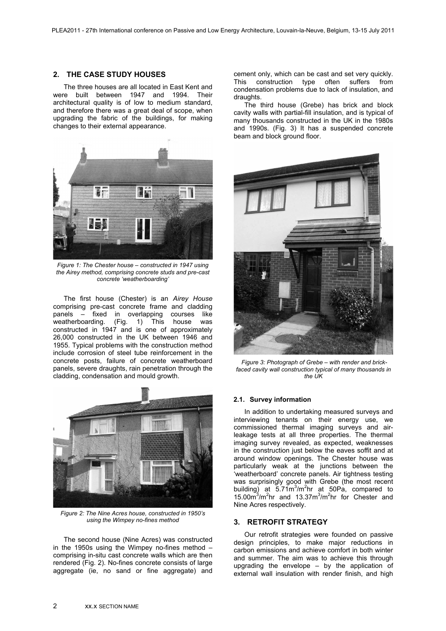#### **2. THE CASE STUDY HOUSES**

The three houses are all located in East Kent and were built between 1947 and 1994. Their architectural quality is of low to medium standard, and therefore there was a great deal of scope, when upgrading the fabric of the buildings, for making changes to their external appearance.



*Figure 1: The Chester house – constructed in 1947 using the Airey method, comprising concrete studs and pre-cast concrete 'weatherboarding'*

The first house (Chester) is an *Airey House* comprising pre-cast concrete frame and cladding panels – fixed in overlapping courses like weatherboarding. (Fig. 1) This house was constructed in 1947 and is one of approximately 26,000 constructed in the UK between 1946 and 1955. Typical problems with the construction method include corrosion of steel tube reinforcement in the concrete posts, failure of concrete weatherboard panels, severe draughts, rain penetration through the cladding, condensation and mould growth.



*Figure 2: The Nine Acres house, constructed in 1950's using the Wimpey no-fines method*

The second house (Nine Acres) was constructed in the 1950s using the Wimpey no-fines method – comprising in-situ cast concrete walls which are then rendered (Fig. 2). No-fines concrete consists of large aggregate (ie, no sand or fine aggregate) and cement only, which can be cast and set very quickly. This construction type often suffers from condensation problems due to lack of insulation, and draughts.

The third house (Grebe) has brick and block cavity walls with partial-fill insulation, and is typical of many thousands constructed in the UK in the 1980s and 1990s. (Fig. 3) It has a suspended concrete beam and block ground floor.



 *Figure 3: Photograph of Grebe – with render and brickfaced cavity wall construction typical of many thousands in the UK*

#### **2.1. Survey information**

In addition to undertaking measured surveys and interviewing tenants on their energy use, we commissioned thermal imaging surveys and airleakage tests at all three properties. The thermal imaging survey revealed, as expected, weaknesses in the construction just below the eaves soffit and at around window openings. The Chester house was particularly weak at the junctions between the 'weatherboard' concrete panels. Air tightness testing was surprisingly good with Grebe (the most recent building) at 5.71m<sup>3</sup>/m<sup>2</sup>hr at 50Pa, compared to  $15.00\,\mathrm{m}^3/\mathrm{m}^2$ hr  $13.37\,\mathrm{m}^3/\mathrm{m}^2$ hr for Chester and Nine Acres respectively.

#### **3. RETROFIT STRATEGY**

Our retrofit strategies were founded on passive design principles, to make major reductions in carbon emissions and achieve comfort in both winter and summer. The aim was to achieve this through upgrading the envelope – by the application of external wall insulation with render finish, and high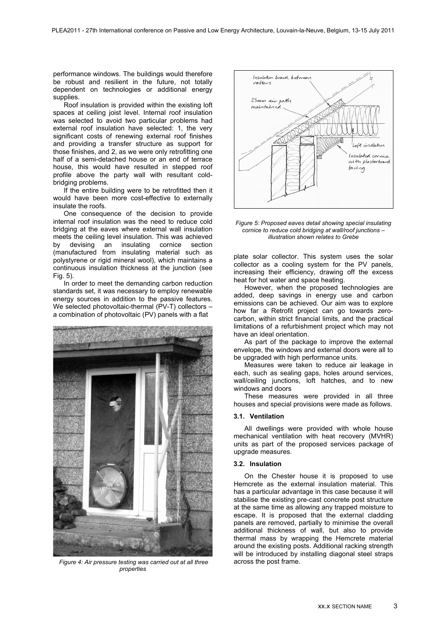performance windows. The buildings would therefore be robust and resilient in the future, not totally dependent on technologies or additional energy supplies.

Roof insulation is provided within the existing loft spaces at ceiling joist level. Internal roof insulation was selected to avoid two particular problems had external roof insulation have selected: 1, the very significant costs of renewing external roof finishes and providing a transfer structure as support for those finishes, and 2, as we were only retrofitting one half of a semi-detached house or an end of terrace house, this would have resulted in stepped roof profile above the party wall with resultant coldbridging problems.

If the entire building were to be retrofitted then it would have been more cost-effective to externally insulate the roofs.

One consequence of the decision to provide internal roof insulation was the need to reduce cold bridging at the eaves where external wall insulation meets the ceiling level insulation. This was achieved by devising an insulating cornice section (manufactured from insulating material such as polystyrene or rigid mineral wool), which maintains a continuous insulation thickness at the junction (see Fig. 5).

In order to meet the demanding carbon reduction standards set, it was necessary to employ renewable energy sources in addition to the passive features. We selected photovoltaic-thermal (PV-T) collectors – a combination of photovoltaic (PV) panels with a flat



 *Figure 4: Air pressure testing was carried out at all three properties*



#### *Figure 5: Proposed eaves detail showing special insulating cornice to reduce cold bridging at wall/roof junctions – illustration shown relates to Grebe*

plate solar collector. This system uses the solar collector as a cooling system for the PV panels, increasing their efficiency, drawing off the excess heat for hot water and space heating.

However, when the proposed technologies are added, deep savings in energy use and carbon emissions can be achieved. Our aim was to explore how far a Retrofit project can go towards zerocarbon, within strict financial limits, and the practical limitations of a refurbishment project which may not have an ideal orientation.

As part of the package to improve the external envelope, the windows and external doors were all to be upgraded with high performance units.

Measures were taken to reduce air leakage in each, such as sealing gaps, holes around services, wall/ceiling junctions, loft hatches, and to new windows and doors

These measures were provided in all three houses and special provisions were made as follows.

#### **3.1. Ventilation**

All dwellings were provided with whole house mechanical ventilation with heat recovery (MVHR) units as part of the proposed services package of upgrade measures.

#### **3.2. Insulation**

On the Chester house it is proposed to use Hemcrete as the external insulation material. This has a particular advantage in this case because it will stabilise the existing pre-cast concrete post structure at the same time as allowing any trapped moisture to escape. It is proposed that the external cladding panels are removed, partially to minimise the overall additional thickness of wall, but also to provide thermal mass by wrapping the Hemcrete material around the existing posts. Additional racking strength will be introduced by installing diagonal steel straps across the post frame.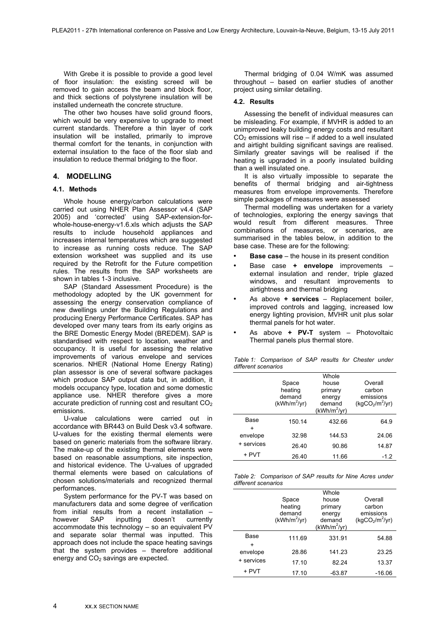With Grebe it is possible to provide a good level of floor insulation: the existing screed will be removed to gain access the beam and block floor, and thick sections of polystyrene insulation will be installed underneath the concrete structure.

The other two houses have solid ground floors, which would be very expensive to upgrade to meet current standards. Therefore a thin layer of cork insulation will be installed, primarily to improve thermal comfort for the tenants, in conjunction with external insulation to the face of the floor slab and insulation to reduce thermal bridging to the floor.

#### **4. MODELLING**

#### **4.1. Methods**

Whole house energy/carbon calculations were carried out using NHER Plan Assessor v4.4 (SAP 2005) and 'corrected' using SAP-extension-forwhole-house-energy-v1.6.xls which adjusts the SAP results to include household appliances and increases internal temperatures which are suggested to increase as running costs reduce. The SAP extension worksheet was supplied and its use required by the Retrofit for the Future competition rules. The results from the SAP worksheets are shown in tables 1-3 inclusive.

SAP (Standard Assessment Procedure) is the methodology adopted by the UK government for assessing the energy conservation compliance of new dwellings under the Building Regulations and producing Energy Performance Certificates. SAP has developed over many tears from its early origins as the BRE Domestic Energy Model (BREDEM). SAP is standardised with respect to location, weather and occupancy. It is useful for assessing the relative improvements of various envelope and services scenarios. NHER (National Home Energy Rating) plan assessor is one of several software packages which produce SAP output data but, in addition, it models occupancy type, location and some domestic appliance use. NHER therefore gives a more accurate prediction of running cost and resultant  $CO<sub>2</sub>$ emissions.

U-value calculations were carried out in accordance with BR443 on Build Desk v3.4 software. U-values for the existing thermal elements were based on generic materials from the software library. The make-up of the existing thermal elements were based on reasonable assumptions, site inspection, and historical evidence. The U-values of upgraded thermal elements were based on calculations of chosen solutions/materials and recognized thermal performances.

System performance for the PV-T was based on manufacturers data and some degree of verification from initial results from a recent installation –<br>however SAP inputting doesn't currently however SAP inputting doesn't currently accommodate this technology – so an equivalent PV and separate solar thermal was inputted. This approach does not include the space heating savings that the system provides – therefore additional energy and  $CO<sub>2</sub>$  savings are expected.

Thermal bridging of 0.04 W/mK was assumed throughout – based on earlier studies of another project using similar detailing.

#### **4.2. Results**

Assessing the benefit of individual measures can be misleading. For example, if MVHR is added to an unimproved leaky building energy costs and resultant  $CO<sub>2</sub>$  emissions will rise – if added to a well insulated and airtight building significant savings are realised. Similarly greater savings will be realised if the heating is upgraded in a poorly insulated building than a well insulated one.

It is also virtually impossible to separate the benefits of thermal bridging and air-tightness measures from envelope improvements. Therefore simple packages of measures were assessed

Thermal modelling was undertaken for a variety of technologies, exploring the energy savings that would result from different measures. Three combinations of measures, or scenarios, are summarised in the tables below, in addition to the base case. These are for the following:

- **Base case** the house in its present condition
- ¥ Base case **+ envelope** improvements external insulation and render, triple glazed windows, and resultant improvements to airtightness and thermal bridging
- As above **+ services** Replacement boiler, improved controls and lagging, increased low energy lighting provision, MVHR unit plus solar thermal panels for hot water.
- ¥ As above **+ PV-T** system Photovoltaic Thermal panels plus thermal store.

*Table 1: Comparison of SAP results for Chester under different scenarios*

|               | Space<br>heating<br>demand<br>$(kWh/m^2/yr)$ | Whole<br>house<br>primary<br>energy<br>demand | Overall<br>carbon<br>emissions<br>(kgCO <sub>2</sub> /m <sup>2</sup> /yr) |
|---------------|----------------------------------------------|-----------------------------------------------|---------------------------------------------------------------------------|
|               |                                              | $(kWh/m^2/yr)$                                |                                                                           |
| Base          | 150.14                                       | 432.66                                        | 64.9                                                                      |
| +<br>envelope | 32.98                                        | 144.53                                        | 24.06                                                                     |
| + services    | 26.40                                        | 90.86                                         | 14.87                                                                     |
| + PVT         | 26.40                                        | 11.66                                         | $-1.2$                                                                    |

*Table 2: Comparison of SAP results for Nine Acres under different scenarios*

|               | Space<br>heating<br>demand<br>$(kWh/m^2/yr)$ | Whole<br>house<br>primary<br>energy<br>demand<br>$(kWh/m^2/yr)$ | Overall<br>carbon<br>emissions<br>(kgCO <sub>2</sub> /m <sup>2</sup> /yr) |
|---------------|----------------------------------------------|-----------------------------------------------------------------|---------------------------------------------------------------------------|
| Base          | 111.69                                       | 331.91                                                          | 54.88                                                                     |
| +<br>envelope | 28.86                                        | 141.23                                                          | 23.25                                                                     |
| + services    | 17.10                                        | 82.24                                                           | 13.37                                                                     |
| + PVT         | 17.10                                        | -63.87                                                          | $-16.06$                                                                  |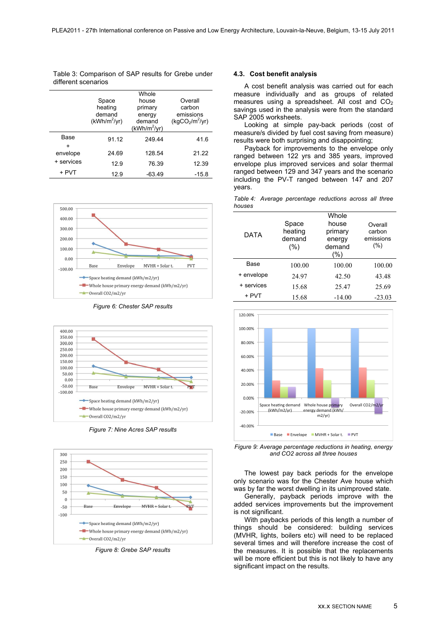| Table 3: Comparison of SAP results for Grebe under |  |  |  |
|----------------------------------------------------|--|--|--|
| different scenarios                                |  |  |  |

|                    | Space<br>heating<br>demand<br>$(kWh/m^2/yr)$ | Whole<br>house<br>primary<br>energy<br>demand<br>$(kWh/m^2/yr)$ | Overall<br>carbon<br>emissions<br>(kgCO <sub>2</sub> /m <sup>2</sup> /yr) |
|--------------------|----------------------------------------------|-----------------------------------------------------------------|---------------------------------------------------------------------------|
| Base               | 91.12                                        | 249.44                                                          | 41.6                                                                      |
| $\div$<br>envelope | 24.69                                        | 128.54                                                          | 21 22                                                                     |
| + services         | 12.9                                         | 76.39                                                           | 12.39                                                                     |
| + PVT              | 12.9                                         | $-63.49$                                                        | $-15.8$                                                                   |



*Figure 6: Chester SAP results*



*Figure 7: Nine Acres SAP results*



*Figure 8: Grebe SAP results*

#### **4.3. Cost benefit analysis**

A cost benefit analysis was carried out for each measure individually and as groups of related measures using a spreadsheet. All cost and  $CO<sub>2</sub>$ savings used in the analysis were from the standard SAP 2005 worksheets.

Looking at simple pay-back periods (cost of measure/s divided by fuel cost saving from measure) results were both surprising and disappointing;

Payback for improvements to the envelope only ranged between 122 yrs and 385 years, improved envelope plus improved services and solar thermal ranged between 129 and 347 years and the scenario including the PV-T ranged between 147 and 207 years.

| houses | rapid i. Thonago poroomago roddonono dorooo am imoo |       |         |  |
|--------|-----------------------------------------------------|-------|---------|--|
|        |                                                     | Whole |         |  |
|        | Space                                               | house | Overall |  |

*Table 4: Average percentage reductions across all three* 

| DATA       | Space<br>heating<br>demand<br>(%) | house<br>primary<br>energy<br>demand<br>(%) | Overall<br>carbon<br>emissions<br>$(\% )$ |
|------------|-----------------------------------|---------------------------------------------|-------------------------------------------|
| Base       | 100.00                            | 100.00                                      | 100.00                                    |
| + envelope | 24.97                             | 42.50                                       | 43.48                                     |
| + services | 15.68                             | 25.47                                       | 25.69                                     |
| + PVT      | 15.68                             | $-14.00$                                    | $-23.03$                                  |



*Figure 9: Average percentage reductions in heating, energy and CO2 across all three houses*

The lowest pay back periods for the envelope only scenario was for the Chester Ave house which was by far the worst dwelling in its unimproved state.

Generally, payback periods improve with the added services improvements but the improvement is not significant.

With paybacks periods of this length a number of things should be considered: building services (MVHR, lights, boilers etc) will need to be replaced several times and will therefore increase the cost of the measures. It is possible that the replacements will be more efficient but this is not likely to have any significant impact on the results.